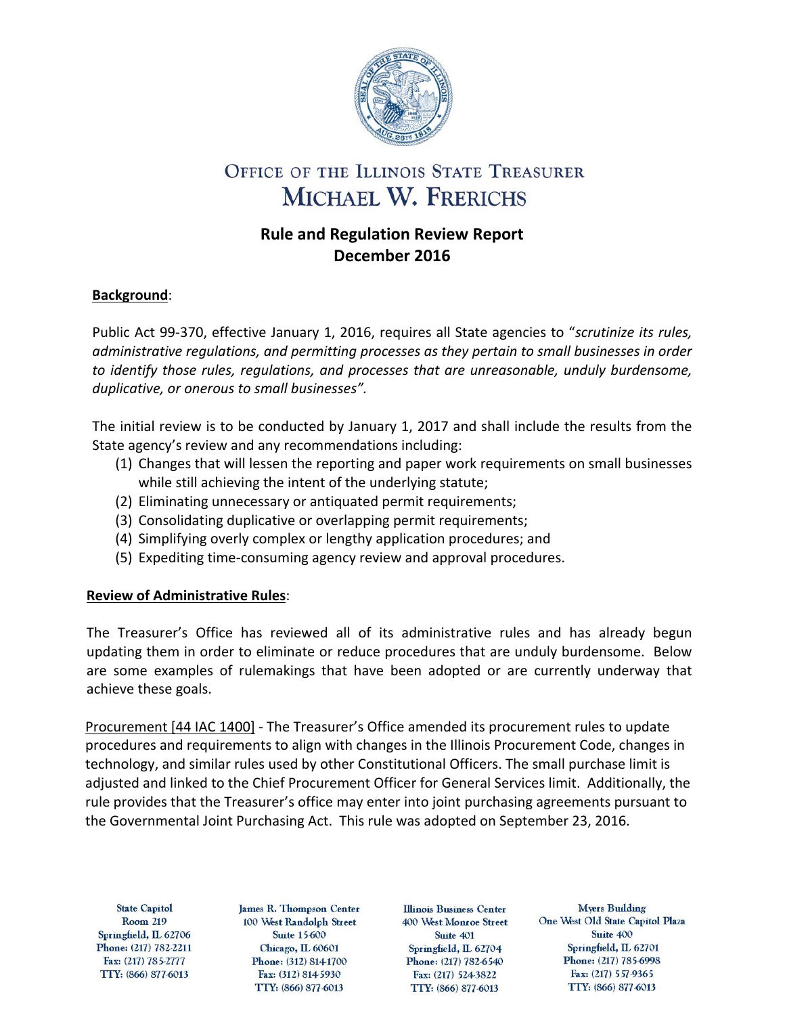

# OFFICE OF THE ILLINOIS STATE TREASURER MICHAEL W. FRERICHS

## **Rule and Regulation Review Report December 2016**

### **Background**:

Public Act 99-370, effective January 1, 2016, requires all State agencies to "*scrutinize its rules, administrative regulations, and permitting processes as they pertain to small businesses in order to identify those rules, regulations, and processes that are unreasonable, unduly burdensome, duplicative, or onerous to small businesses".*

The initial review is to be conducted by January 1, 2017 and shall include the results from the State agency's review and any recommendations including:

- (1) Changes that will lessen the reporting and paper work requirements on small businesses while still achieving the intent of the underlying statute;
- (2) Eliminating unnecessary or antiquated permit requirements;
- (3) Consolidating duplicative or overlapping permit requirements;
- (4) Simplifying overly complex or lengthy application procedures; and
- (5) Expediting time-consuming agency review and approval procedures.

### **Review of Administrative Rules**:

The Treasurer's Office has reviewed all of its administrative rules and has already begun updating them in order to eliminate or reduce procedures that are unduly burdensome. Below are some examples of rulemakings that have been adopted or are currently underway that achieve these goals.

Procurement [44 IAC 1400] - The Treasurer's Office amended its procurement rules to update procedures and requirements to align with changes in the Illinois Procurement Code, changes in technology, and similar rules used by other Constitutional Officers. The small purchase limit is adjusted and linked to the Chief Procurement Officer for General Services limit. Additionally, the rule provides that the Treasurer's office may enter into joint purchasing agreements pursuant to the Governmental Joint Purchasing Act. This rule was adopted on September 23, 2016.

**State Capitol Room 219** Springfield, IL 62706 Phone: (217) 782-2211 Fax: (217) 785-2777 TTY: (866) 877-6013

James R. Thompson Center 100 West Randolph Street **Suite 15-600** Chicago, IL 60601 Phone: (312) 814-1700 Fax: (312) 814-5930 TTY: (866) 877-6013

**Illinois Business Center** 400 West Monroe Street Suite 401 Springfield, IL 62704 Phone: (217) 782-6540 Fax: (217) 524-3822 TTY: (866) 877-6013

**Myers Building** One West Old State Capitol Plaza Suite 400 Springfield, IL 62701 Phone: (217) 785-6998 Fax: (217) 557-9365 TTY: (866) 877-6013